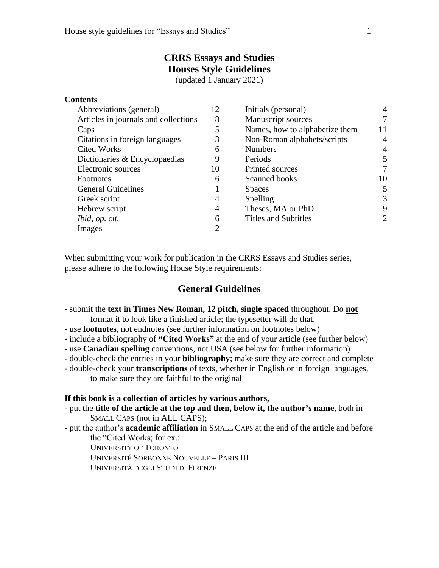# **CRRS Essays and Studies Houses Style Guidelines**

(updated 1 January 2021)

#### **Contents**

| Abbreviations (general)              | 12 | Initials (personal)            | 4              |
|--------------------------------------|----|--------------------------------|----------------|
| Articles in journals and collections | 8  | <b>Manuscript sources</b>      | 7              |
| Caps                                 | 5  | Names, how to alphabetize them | 11             |
| Citations in foreign languages       | 3  | Non-Roman alphabets/scripts    | $\overline{4}$ |
| <b>Cited Works</b>                   | 6  | <b>Numbers</b>                 | $\overline{4}$ |
| Dictionaries & Encyclopaedias        | 9  | Periods                        | 5              |
| Electronic sources                   | 10 | Printed sources                | 7              |
| Footnotes                            | 6  | Scanned books                  | 10             |
| <b>General Guidelines</b>            |    | <b>Spaces</b>                  | 5              |
| Greek script                         | 4  | Spelling                       | 3              |
| Hebrew script                        | 4  | Theses, MA or PhD              | 9              |
| <i>Ibid, op. cit.</i>                | 6  | <b>Titles and Subtitles</b>    | 2              |
| Images                               | 2  |                                |                |

When submitting your work for publication in the CRRS Essays and Studies series, please adhere to the following House Style requirements:

# **General Guidelines**

- submit the **text in Times New Roman, 12 pitch, single spaced** throughout. Do **not** format it to look like a finished article; the typesetter will do that.
- use **footnotes**, not endnotes (see further information on footnotes below)
- include a bibliography of **"Cited Works"** at the end of your article (see further below)
- use **Canadian spelling** conventions, not USA (see below for further information)
- double-check the entries in your **bibliography**; make sure they are correct and complete
- double-check your **transcriptions** of texts, whether in English or in foreign languages, to make sure they are faithful to the original

#### **If this book is a collection of articles by various authors,**

- put the **title of the article at the top and then, below it, the author's name**, both in SMALL CAPS (not in ALL CAPS);
- put the author's **academic affiliation** in SMALL CAPS at the end of the article and before the "Cited Works; for ex.:

UNIVERSITY OF TORONTO UNIVERSITÉ SORBONNE NOUVELLE – PARIS III

UNIVERSITÀ DEGLI STUDI DI FIRENZE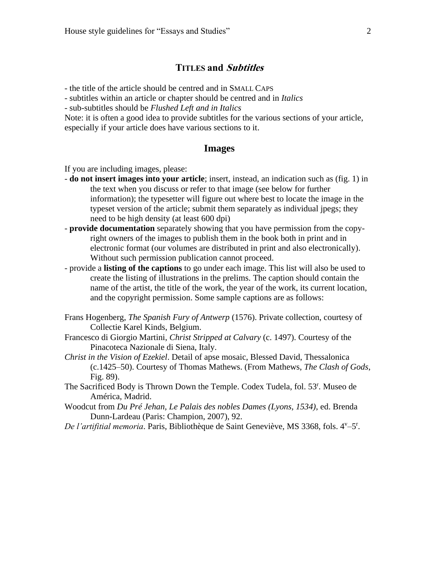# **TITLES and Subtitles**

- the title of the article should be centred and in SMALL CAPS

- subtitles within an article or chapter should be centred and in *Italics*

- sub-subtitles should be *Flushed Left and in Italics*

Note: it is often a good idea to provide subtitles for the various sections of your article, especially if your article does have various sections to it.

### **Images**

If you are including images, please:

- **do not insert images into your article**; insert, instead, an indication such as (fig. 1) in the text when you discuss or refer to that image (see below for further information); the typesetter will figure out where best to locate the image in the typeset version of the article; submit them separately as individual jpegs; they need to be high density (at least 600 dpi)
- **provide documentation** separately showing that you have permission from the copyright owners of the images to publish them in the book both in print and in electronic format (our volumes are distributed in print and also electronically). Without such permission publication cannot proceed.
- provide a **listing of the captions** to go under each image. This list will also be used to create the listing of illustrations in the prelims. The caption should contain the name of the artist, the title of the work, the year of the work, its current location, and the copyright permission. Some sample captions are as follows:
- Frans Hogenberg, *The Spanish Fury of Antwerp* (1576). Private collection, courtesy of Collectie Karel Kinds, Belgium.
- Francesco di Giorgio Martini, *Christ Stripped at Calvary* (c. 1497). Courtesy of the Pinacoteca Nazionale di Siena, Italy.
- *Christ in the Vision of Ezekiel*. Detail of apse mosaic, Blessed David, Thessalonica (c.1425–50). Courtesy of Thomas Mathews. (From Mathews, *The Clash of Gods*, Fig. 89).
- The Sacrificed Body is Thrown Down the Temple. Codex Tudela, fol. 53<sup>r</sup>. Museo de América, Madrid.
- Woodcut from *Du Pré Jehan, Le Palais des nobles Dames (Lyons, 1534)*, ed. Brenda Dunn-Lardeau (Paris: Champion, 2007), 92.
- De l'artifitial memoria. Paris, Bibliothèque de Saint Geneviève, MS 3368, fols. 4<sup>v</sup>-5<sup>r</sup>.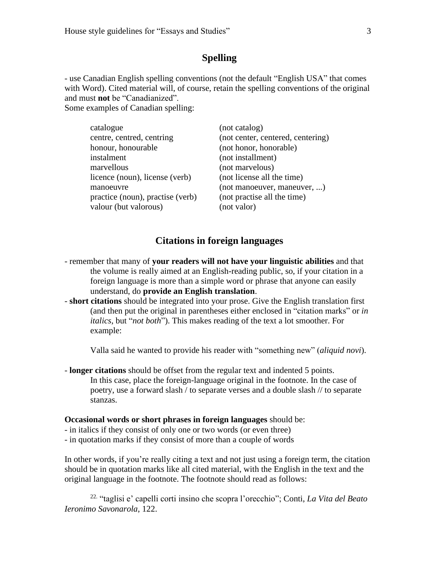### **Spelling**

- use Canadian English spelling conventions (not the default "English USA" that comes with Word). Cited material will, of course, retain the spelling conventions of the original and must **not** be "Canadianized". Some examples of Canadian spelling:

catalogue (not catalog) centre, centred, centring (not center, centered, centering) honour, honourable (not honor, honorable) instalment (not installment) marvellous (not marvelous) licence (noun), license (verb) (not license all the time) manoeuvre (not manoeuver, maneuver, ...) practice (noun), practise (verb) (not practise all the time) valour (but valorous) (not valor)

### **Citations in foreign languages**

- remember that many of **your readers will not have your linguistic abilities** and that the volume is really aimed at an English-reading public, so, if your citation in a foreign language is more than a simple word or phrase that anyone can easily understand, do **provide an English translation**.
- **short citations** should be integrated into your prose. Give the English translation first (and then put the original in parentheses either enclosed in "citation marks" or *in italics*, but "*not both*"). This makes reading of the text a lot smoother. For example:

Valla said he wanted to provide his reader with "something new" (*aliquid novi*).

- **longer citations** should be offset from the regular text and indented 5 points. In this case, place the foreign-language original in the footnote. In the case of poetry, use a forward slash / to separate verses and a double slash // to separate stanzas.

#### **Occasional words or short phrases in foreign languages** should be:

- in italics if they consist of only one or two words (or even three)
- in quotation marks if they consist of more than a couple of words

In other words, if you're really citing a text and not just using a foreign term, the citation should be in quotation marks like all cited material, with the English in the text and the original language in the footnote. The footnote should read as follows:

22. "taglisi e' capelli corti insino che scopra l'orecchio"; Conti, *La Vita del Beato Ieronimo Savonarola*, 122.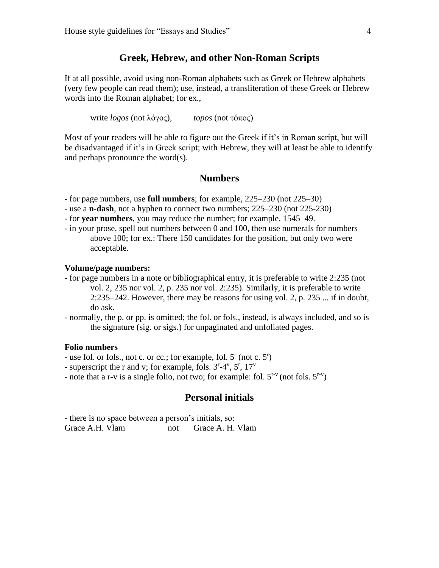### **Greek, Hebrew, and other Non-Roman Scripts**

If at all possible, avoid using non-Roman alphabets such as Greek or Hebrew alphabets (very few people can read them); use, instead, a transliteration of these Greek or Hebrew words into the Roman alphabet; for ex.,

write *logos* (not λόγος), *topos* (not τόπος)

Most of your readers will be able to figure out the Greek if it's in Roman script, but will be disadvantaged if it's in Greek script; with Hebrew, they will at least be able to identify and perhaps pronounce the word(s).

### **Numbers**

- for page numbers, use **full numbers**; for example, 225–230 (not 225–30)
- use a **n-dash**, not a hyphen to connect two numbers; 225–230 (not 225-230)
- for **year numbers**, you may reduce the number; for example, 1545–49.
- in your prose, spell out numbers between 0 and 100, then use numerals for numbers above 100; for ex.: There 150 candidates for the position, but only two were acceptable.

### **Volume/page numbers:**

- for page numbers in a note or bibliographical entry, it is preferable to write 2:235 (not vol. 2, 235 nor vol. 2, p. 235 nor vol. 2:235). Similarly, it is preferable to write  $2:235-242$ . However, there may be reasons for using vol. 2, p. 235 ... if in doubt, do ask.
- normally, the p. or pp. is omitted; the fol. or fols., instead, is always included, and so is the signature (sig. or sigs.) for unpaginated and unfoliated pages.

### **Folio numbers**

- use fol. or fols., not c. or cc.; for example, fol. 5<sup>r</sup> (not c. 5<sup>r</sup>)
- superscript the r and v; for example, fols.  $3<sup>r</sup>-4<sup>v</sup>$ ,  $5<sup>r</sup>$ ,  $17<sup>v</sup>$
- note that a r-v is a single folio, not two; for example: fol.  $5^{r-v}$  (not fols.  $5^{r-v}$ )

### **Personal initials**

- there is no space between a person's initials, so: Grace A.H. Vlam not Grace A.H. Vlam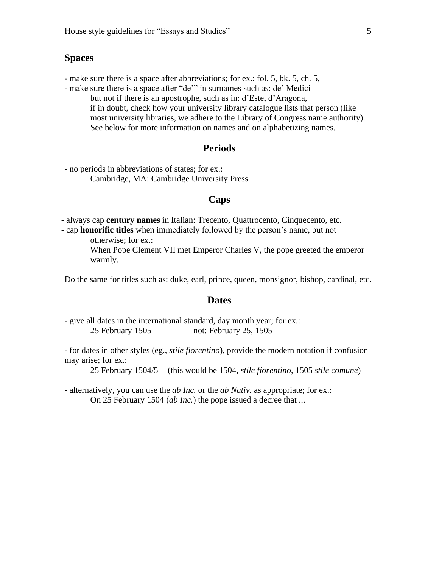### **Spaces**

- make sure there is a space after abbreviations; for ex.: fol. 5, bk. 5, ch. 5,

- make sure there is a space after "de'" in surnames such as: de' Medici but not if there is an apostrophe, such as in: d'Este, d'Aragona, if in doubt, check how your university library catalogue lists that person (like most university libraries, we adhere to the Library of Congress name authority). See below for more information on names and on alphabetizing names.

### **Periods**

- no periods in abbreviations of states; for ex.: Cambridge, MA: Cambridge University Press

### **Caps**

- always cap **century names** in Italian: Trecento, Quattrocento, Cinquecento, etc.

- cap **honorific titles** when immediately followed by the person's name, but not otherwise; for ex.:

> When Pope Clement VII met Emperor Charles V, the pope greeted the emperor warmly.

Do the same for titles such as: duke, earl, prince, queen, monsignor, bishop, cardinal, etc.

### **Dates**

- give all dates in the international standard, day month year; for ex.: 25 February 1505 not: February 25, 1505

- for dates in other styles (eg., *stile fiorentino*), provide the modern notation if confusion may arise; for ex.:

25 February 1504/5 (this would be 1504, *stile fiorentino*, 1505 *stile comune*)

- alternatively, you can use the *ab Inc.* or the *ab Nativ.* as appropriate; for ex.: On 25 February 1504 (*ab Inc.*) the pope issued a decree that ...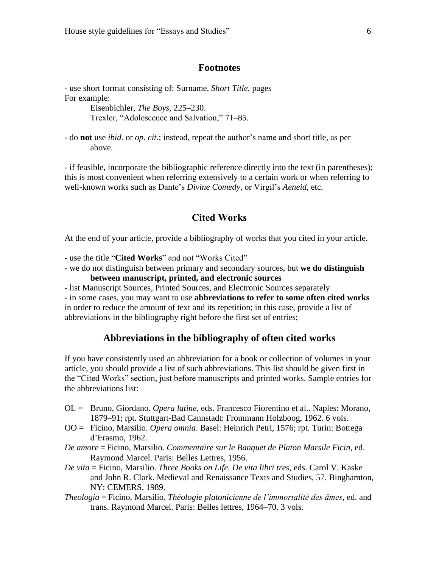### **Footnotes**

- use short format consisting of: Surname, *Short Title*, pages For example:

Eisenbichler, *The Boys*, 225–230. Trexler, "Adolescence and Salvation," 71–85.

- do **not** use *ibid*. or *op. cit.*; instead, repeat the author's name and short title, as per above.

- if feasible, incorporate the bibliographic reference directly into the text (in parentheses); this is most convenient when referring extensively to a certain work or when referring to well-known works such as Dante's *Divine Comedy*, or Virgil's *Aeneid*, etc.

## **Cited Works**

At the end of your article, provide a bibliography of works that you cited in your article.

- use the title "**Cited Works**" and not "Works Cited"

- we do not distinguish between primary and secondary sources, but **we do distinguish between manuscript, printed, and electronic sources**

- list Manuscript Sources, Printed Sources, and Electronic Sources separately

- in some cases, you may want to use **abbreviations to refer to some often cited works** in order to reduce the amount of text and its repetition; in this case, provide a list of abbreviations in the bibliography right before the first set of entries;

### **Abbreviations in the bibliography of often cited works**

If you have consistently used an abbreviation for a book or collection of volumes in your article, you should provide a list of such abbreviations. This list should be given first in the "Cited Works" section, just before manuscripts and printed works. Sample entries for the abbreviations list:

- OL = Bruno, Giordano. *Opera latine*, eds. Francesco Fiorentino et al.. Naples: Morano, 1879–91; rpt. Stuttgart-Bad Cannstadt: Frommann Holzboog, 1962. 6 vols.
- OO = Ficino, Marsilio. *Opera omnia*. Basel: Heinrich Petri, 1576; rpt. Turin: Bottega d'Erasmo, 1962.
- *De amore* = Ficino, Marsilio. *Commentaire sur le Banquet de Platon Marsile Ficin*, ed. Raymond Marcel. Paris: Belles Lettres, 1956.
- *De vita* = Ficino, Marsilio. *Three Books on Life. De vita libri tres*, eds. Carol V. Kaske and John R. Clark. Medieval and Renaissance Texts and Studies, 57. Binghamton, NY: CEMERS, 1989.
- *Theologia* = Ficino, Marsilio. *Théologie platonicienne de l'immortalité des âmes*, ed. and trans. Raymond Marcel. Paris: Belles lettres, 1964–70. 3 vols.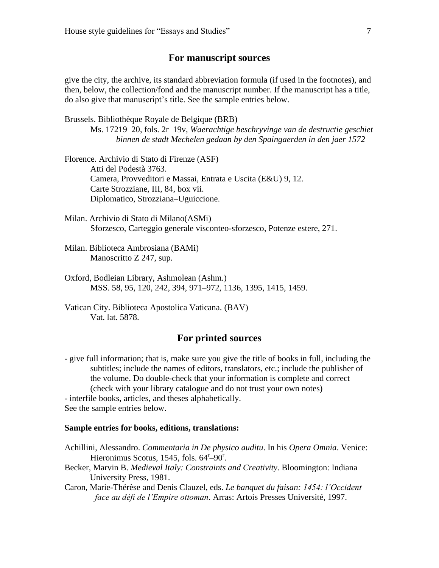### **For manuscript sources**

give the city, the archive, its standard abbreviation formula (if used in the footnotes), and then, below, the collection/fond and the manuscript number. If the manuscript has a title, do also give that manuscript's title. See the sample entries below.

Brussels. Bibliothèque Royale de Belgique (BRB)

Ms. 17219–20, fols. 2r–19v, *Waerachtige beschryvinge van de destructie geschiet binnen de stadt Mechelen gedaan by den Spaingaerden in den jaer 1572*

Florence. Archivio di Stato di Firenze (ASF) Atti del Podestà 3763. Camera, Provveditori e Massai, Entrata e Uscita (E&U) 9, 12. Carte Strozziane, III, 84, box vii. Diplomatico, Strozziana–Uguiccione.

- Milan. Archivio di Stato di Milano(ASMi) Sforzesco, Carteggio generale visconteo-sforzesco, Potenze estere, 271.
- Milan. Biblioteca Ambrosiana (BAMi) Manoscritto Z 247, sup.
- Oxford, Bodleian Library, Ashmolean (Ashm.) MSS. 58, 95, 120, 242, 394, 971–972, 1136, 1395, 1415, 1459.
- Vatican City. Biblioteca Apostolica Vaticana. (BAV) Vat. lat. 5878.

### **For printed sources**

- give full information; that is, make sure you give the title of books in full, including the subtitles; include the names of editors, translators, etc.; include the publisher of the volume. Do double-check that your information is complete and correct (check with your library catalogue and do not trust your own notes) - interfile books, articles, and theses alphabetically. See the sample entries below.

#### **Sample entries for books, editions, translations:**

- Achillini, Alessandro. *Commentaria in De physico auditu*. In his *Opera Omnia*. Venice: Hieronimus Scotus, 1545, fols. 64<sup>r</sup>-90<sup>r</sup>.
- Becker, Marvin B. *Medieval Italy: Constraints and Creativity*. Bloomington: Indiana University Press, 1981.
- Caron, Marie-Thérèse and Denis Clauzel, eds. *Le banquet du faisan: 1454: l'Occident face au défi de l'Empire ottoman*. Arras: Artois Presses Université, 1997.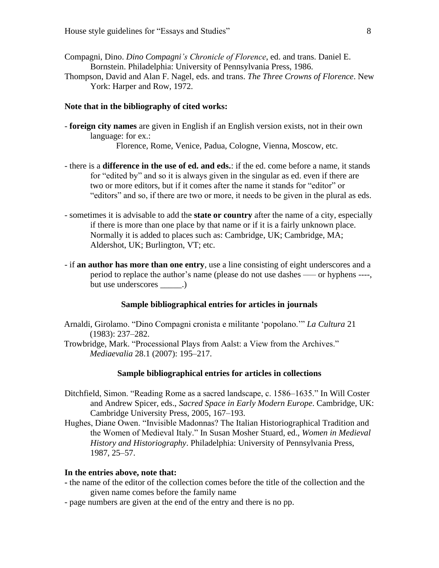- Compagni, Dino. *Dino Compagni's Chronicle of Florence*, ed. and trans. Daniel E. Bornstein. Philadelphia: University of Pennsylvania Press, 1986.
- Thompson, David and Alan F. Nagel, eds. and trans. *The Three Crowns of Florence*. New York: Harper and Row, 1972.

### **Note that in the bibliography of cited works:**

- **foreign city names** are given in English if an English version exists, not in their own language: for ex.:

Florence, Rome, Venice, Padua, Cologne, Vienna, Moscow, etc.

- there is a **difference in the use of ed. and eds.**: if the ed. come before a name, it stands for "edited by" and so it is always given in the singular as ed. even if there are two or more editors, but if it comes after the name it stands for "editor" or "editors" and so, if there are two or more, it needs to be given in the plural as eds.
- sometimes it is advisable to add the **state or country** after the name of a city, especially if there is more than one place by that name or if it is a fairly unknown place. Normally it is added to places such as: Cambridge, UK; Cambridge, MA; Aldershot, UK; Burlington, VT; etc.
- if **an author has more than one entry**, use a line consisting of eight underscores and a period to replace the author's name (please do not use dashes ––– or hyphens ----, but use underscores  $\qquad \qquad .)$

### **Sample bibliographical entries for articles in journals**

- Arnaldi, Girolamo. "Dino Compagni cronista e militante 'popolano.'" *La Cultura* 21 (1983): 237–282.
- Trowbridge, Mark. "Processional Plays from Aalst: a View from the Archives." *Mediaevalia* 28.1 (2007): 195–217.

#### **Sample bibliographical entries for articles in collections**

- Ditchfield, Simon. "Reading Rome as a sacred landscape, c. 1586–1635." In Will Coster and Andrew Spicer, eds., *Sacred Space in Early Modern Europe*. Cambridge, UK: Cambridge University Press, 2005, 167–193.
- Hughes, Diane Owen. "Invisible Madonnas? The Italian Historiographical Tradition and the Women of Medieval Italy." In Susan Mosher Stuard, ed., *Women in Medieval History and Historiography*. Philadelphia: University of Pennsylvania Press, 1987, 25–57.

#### **In the entries above, note that:**

- **-** the name of the editor of the collection comes before the title of the collection and the given name comes before the family name
- page numbers are given at the end of the entry and there is no pp.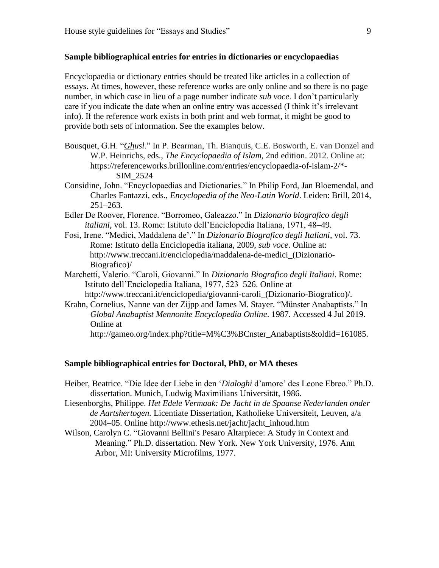#### **Sample bibliographical entries for entries in dictionaries or encyclopaedias**

Encyclopaedia or dictionary entries should be treated like articles in a collection of essays. At times, however, these reference works are only online and so there is no page number, in which case in lieu of a page number indicate *sub voce*. I don't particularly care if you indicate the date when an online entry was accessed (I think it's irrelevant info). If the reference work exists in both print and web format, it might be good to provide both sets of information. See the examples below.

- Bousquet, G.H. "*Ghusl*." In P. Bearman, Th. Bianquis, C.E. Bosworth, E. van Donzel and W.P. Heinrichs, eds., *The Encyclopaedia of Islam,* 2nd edition. 2012. Online at: https://referenceworks.brillonline.com/entries/encyclopaedia-of-islam-2/\*- SIM\_2524
- Considine, John. "Encyclopaedias and Dictionaries." In Philip Ford, Jan Bloemendal, and Charles Fantazzi, eds., *Encyclopedia of the Neo-Latin World*. Leiden: Brill, 2014,  $251 - 263$ .
- Edler De Roover, Florence. "Borromeo, Galeazzo." In *Dizionario biografico degli italiani*, vol. 13. Rome: Istituto dell'Enciclopedia Italiana, 1971, 48–49.
- Fosi, Irene. "Medici, Maddalena de'." In *Dizionario Biografico degli Italiani*, vol. 73. Rome: Istituto della Enciclopedia italiana, 2009, *sub voce*. Online at: http://www.treccani.it/enciclopedia/maddalena-de-medici\_(Dizionario-Biografico)/
- Marchetti, Valerio. "Caroli, Giovanni." In *Dizionario Biografico degli Italiani*. Rome: Istituto dell'Enciclopedia Italiana, 1977, 523–526. Online at http://www.treccani.it/enciclopedia/giovanni-caroli\_(Dizionario-Biografico)/.
- Krahn, Cornelius, Nanne van der Zijpp and James M. Stayer. "Münster Anabaptists." In *Global Anabaptist Mennonite Encyclopedia Online*. 1987. Accessed 4 Jul 2019. Online at

http://gameo.org/index.php?title=M%C3%BCnster\_Anabaptists&oldid=161085.

#### **Sample bibliographical entries for Doctoral, PhD, or MA theses**

- Heiber, Beatrice. "Die Idee der Liebe in den '*Dialoghi* d'amore' des Leone Ebreo." Ph.D. dissertation. Munich, Ludwig Maximilians Universität, 1986.
- Liesenborghs, Philippe. *Het Edele Vermaak: De Jacht in de Spaanse Nederlanden onder de Aartshertogen.* Licentiate Dissertation, Katholieke Universiteit, Leuven, a/a 2004–05. Online http://www.ethesis.net/jacht/jacht\_inhoud.htm
- Wilson, Carolyn C. "Giovanni Bellini's Pesaro Altarpiece: A Study in Context and Meaning." Ph.D. dissertation. New York. New York University, 1976. Ann Arbor, MI: University Microfilms, 1977.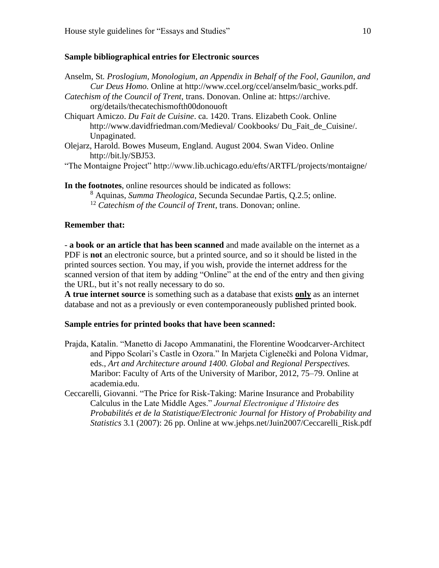### **Sample bibliographical entries for Electronic sources**

Anselm, St*. Proslogium, Monologium, an Appendix in Behalf of the Fool, Gaunilon, and Cur Deus Homo.* Online at http://www.ccel.org/ccel/anselm/basic\_works.pdf. *Catechism of the Council of Trent*, trans. Donovan. Online at: https://archive. org/details/thecatechismofth00donouoft Chiquart Amiczo. *Du Fait de Cuisine*. ca. 1420. Trans. Elizabeth Cook. Online http://www.davidfriedman.com/Medieval/ Cookbooks/ Du\_Fait\_de\_Cuisine/. Unpaginated. Olejarz, Harold. Bowes Museum, England. August 2004. Swan Video. Online http://bit.ly/SBJ53.

"The Montaigne Project" http://www.lib.uchicago.edu/efts/ARTFL/projects/montaigne/

**In the footnotes**, online resources should be indicated as follows: <sup>8</sup> Aquinas, *Summa Theologica*, Secunda Secundae Partis, Q.2.5; online. <sup>12</sup> *Catechism of the Council of Trent*, trans. Donovan; online.

### **Remember that:**

- **a book or an article that has been scanned** and made available on the internet as a PDF is **not** an electronic source, but a printed source, and so it should be listed in the printed sources section. You may, if you wish, provide the internet address for the scanned version of that item by adding "Online" at the end of the entry and then giving the URL, but it's not really necessary to do so.

**A true internet source** is something such as a database that exists **only** as an internet database and not as a previously or even contemporaneously published printed book.

### **Sample entries for printed books that have been scanned:**

- Prajda, Katalin. "Manetto di Jacopo Ammanatini, the Florentine Woodcarver-Architect and Pippo Scolari's Castle in Ozora." In Marjeta Ciglenečki and Polona Vidmar, eds., *Art and Architecture around 1400. Global and Regional Perspectives.*  Maribor: Faculty of Arts of the University of Maribor, 2012, 75–79. Online at academia.edu.
- Ceccarelli, Giovanni. "The Price for Risk-Taking: Marine Insurance and Probability Calculus in the Late Middle Ages." *Journal Electronique d'Histoire des Probabilités et de la Statistique/Electronic Journal for History of Probability and Statistics* 3.1 (2007): 26 pp. Online at ww.jehps.net/Juin2007/Ceccarelli Risk.pdf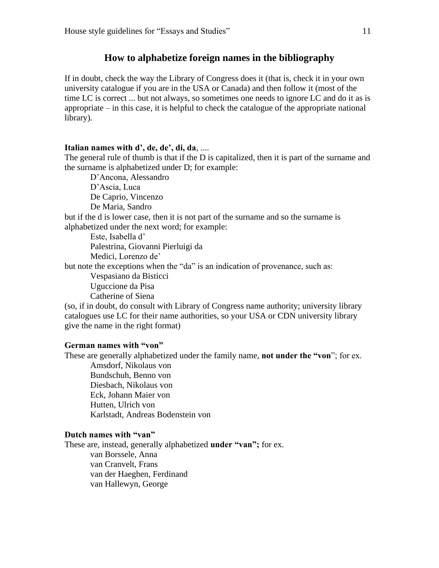### **How to alphabetize foreign names in the bibliography**

If in doubt, check the way the Library of Congress does it (that is, check it in your own university catalogue if you are in the USA or Canada) and then follow it (most of the time LC is correct ... but not always, so sometimes one needs to ignore LC and do it as is appropriate – in this case, it is helpful to check the catalogue of the appropriate national library).

#### **Italian names with d', de, de', di, da**, ....

The general rule of thumb is that if the D is capitalized, then it is part of the surname and the surname is alphabetized under D; for example:

D'Ancona, Alessandro D'Ascia, Luca De Caprio, Vincenzo De Maria, Sandro but if the d is lower case, then it is not part of the surname and so the surname is alphabetized under the next word; for example: Este, Isabella d' Palestrina, Giovanni Pierluigi da Medici, Lorenzo de'

but note the exceptions when the "da" is an indication of provenance, such as:

Vespasiano da Bisticci Uguccione da Pisa Catherine of Siena

(so, if in doubt, do consult with Library of Congress name authority; university library catalogues use LC for their name authorities, so your USA or CDN university library give the name in the right format)

#### **German names with "von"**

These are generally alphabetized under the family name, **not under the "von**"; for ex.

Amsdorf, Nikolaus von Bundschuh, Benno von Diesbach, Nikolaus von Eck, Johann Maier von Hutten, Ulrich von Karlstadt, Andreas Bodenstein von

### **Dutch names with "van"**

These are, instead, generally alphabetized **under "van";** for ex. van Borssele, Anna van Cranvelt, Frans van der Haeghen, Ferdinand van Hallewyn, George